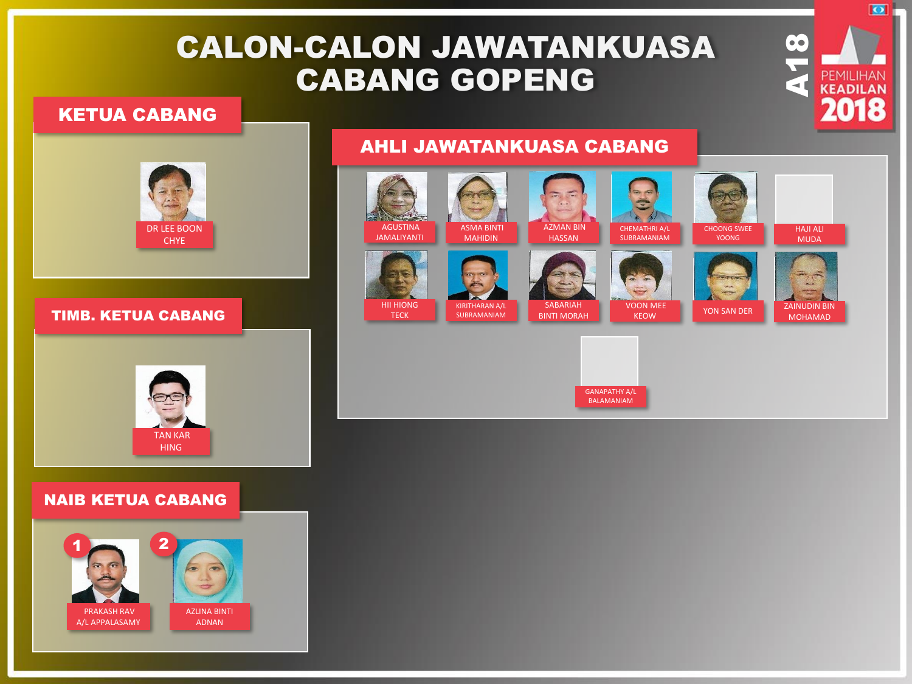# **CALON-CALON JAWATANKUASA CABANG GOPENG**

**HII HIONG** 

**TECK** 

#### **KETUA CABANG**



#### **TIMB. KETUA CABANG**



#### **NAIB KETUA CABANG**



## **AHLI JAWATANKUASA CABANG**

KIRITHARAN A/L

**SUBRAMANIAM** 



**SABARIAH** 

**BINTI MORAH** 







**HAJI ALI** 

**MUDA** 

CO

 $\overline{\bullet}$ 

**KEADILAN** 







**VOON MEE** 

**KEOW**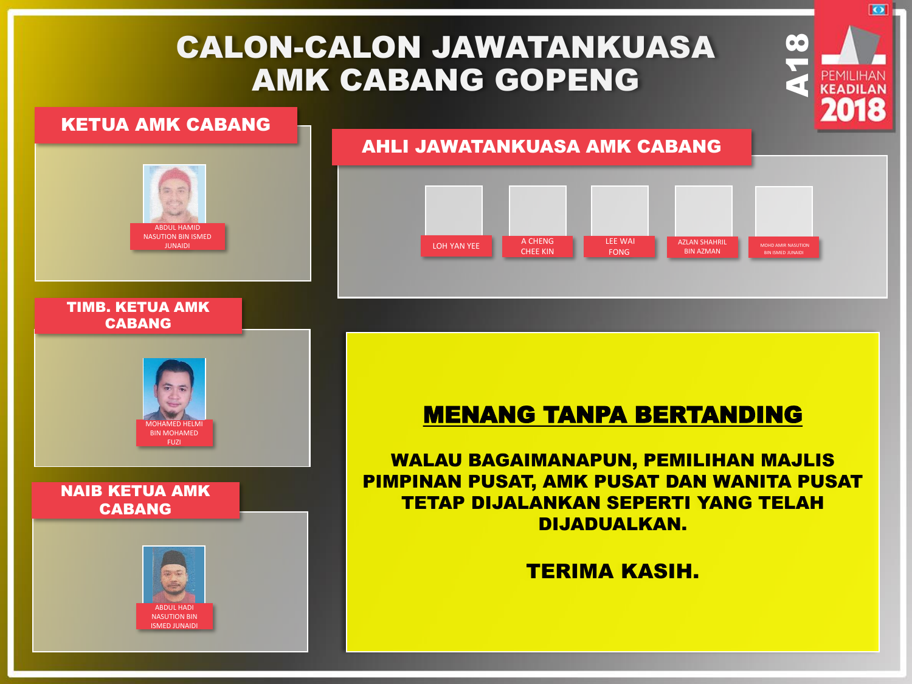# CALON-CALON JAWATANKUASA AMK CABANG GOPENG

**A18** 

ы